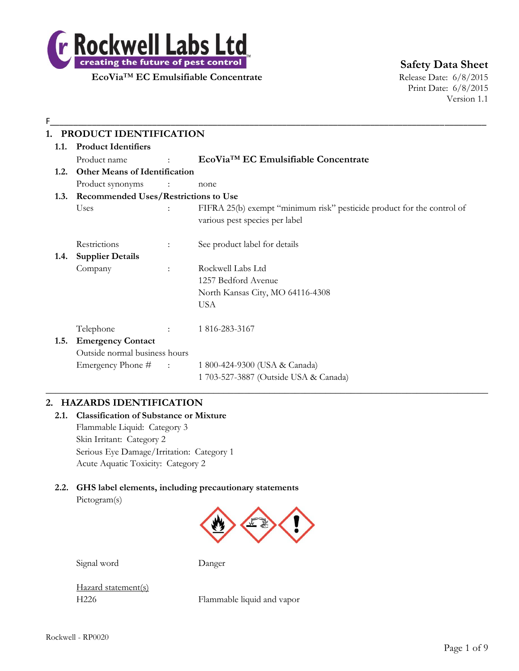

**Safety Data Sheet**

Print Date: 6/8/2015 Version 1.1

# F\_\_\_\_\_\_\_\_\_\_\_\_\_\_\_\_\_\_\_\_\_\_\_\_\_\_\_\_\_\_\_\_\_\_\_\_\_\_\_\_\_\_\_\_\_\_\_\_\_\_\_\_\_\_\_\_\_\_\_\_\_\_\_\_\_\_\_\_\_\_\_\_\_\_\_\_\_\_\_\_\_\_\_\_\_\_\_\_\_\_\_\_\_\_ **1. PRODUCT IDENTIFICATION 1.1. Product Identifiers** Product name : **EcoVia**™ **EC Emulsifiable Concentrate 1.2. Other Means of Identification** Product synonyms : none **1.3. Recommended Uses/Restrictions to Use** Uses : FIFRA 25(b) exempt "minimum risk" pesticide product for the control of various pest species per label Restrictions : See product label for details **1.4. Supplier Details** Company : Rockwell Labs Ltd 1257 Bedford Avenue North Kansas City, MO 64116-4308 USA Telephone : 1 816-283-3167 **1.5. Emergency Contact** Outside normal business hours Emergency Phone # : 1 800-424-9300 (USA & Canada) 1 703-527-3887 (Outside USA & Canada)

# **2. HAZARDS IDENTIFICATION**

**2.1. Classification of Substance or Mixture** Flammable Liquid: Category 3 Skin Irritant: Category 2 Serious Eye Damage/Irritation: Category 1 Acute Aquatic Toxicity: Category 2

# **2.2. GHS label elements, including precautionary statements**

Pictogram(s)



 $\_$  , and the set of the set of the set of the set of the set of the set of the set of the set of the set of the set of the set of the set of the set of the set of the set of the set of the set of the set of the set of th

Signal word Danger

Hazard statement(s)

H226 Flammable liquid and vapor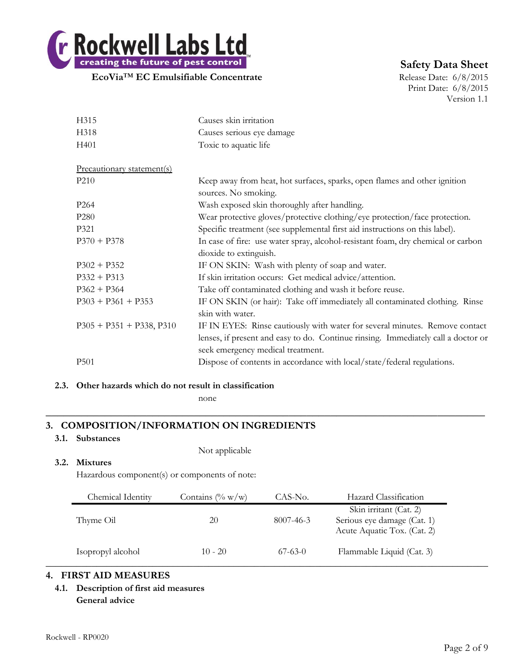

# **Safety Data Sheet**

Print Date: 6/8/2015 Version 1.1

| H315                       | Causes skin irritation                                                            |
|----------------------------|-----------------------------------------------------------------------------------|
| H318                       | Causes serious eye damage                                                         |
| H401                       | Toxic to aquatic life                                                             |
|                            |                                                                                   |
| Precautionary statement(s) |                                                                                   |
| P <sub>210</sub>           | Keep away from heat, hot surfaces, sparks, open flames and other ignition         |
|                            | sources. No smoking.                                                              |
| P <sub>264</sub>           | Wash exposed skin thoroughly after handling.                                      |
| P <sub>280</sub>           | Wear protective gloves/protective clothing/eye protection/face protection.        |
| P321                       | Specific treatment (see supplemental first aid instructions on this label).       |
| $P370 + P378$              | In case of fire: use water spray, alcohol-resistant foam, dry chemical or carbon  |
|                            | dioxide to extinguish.                                                            |
| $P302 + P352$              | IF ON SKIN: Wash with plenty of soap and water.                                   |
| $P332 + P313$              | If skin irritation occurs: Get medical advice/attention.                          |
| $P362 + P364$              | Take off contaminated clothing and wash it before reuse.                          |
| $P303 + P361 + P353$       | IF ON SKIN (or hair): Take off immediately all contaminated clothing. Rinse       |
|                            | skin with water.                                                                  |
| $P305 + P351 + P338, P310$ | IF IN EYES: Rinse cautiously with water for several minutes. Remove contact       |
|                            | lenses, if present and easy to do. Continue rinsing. Immediately call a doctor or |
|                            | seek emergency medical treatment.                                                 |
| P <sub>501</sub>           | Dispose of contents in accordance with local/state/federal regulations.           |
|                            |                                                                                   |

# **2.3. Other hazards which do not result in classification**

none

# **3. COMPOSITION/INFORMATION ON INGREDIENTS**

# **3.1. Substances**

Not applicable

# **3.2. Mixtures**

Hazardous component(s) or components of note:

| Chemical Identity | Contains $(\% w/w)$ | CAS-No.   | Hazard Classification                                                                |
|-------------------|---------------------|-----------|--------------------------------------------------------------------------------------|
| Thyme Oil         | 20                  | 8007-46-3 | Skin irritant (Cat. 2)<br>Serious eye damage (Cat. 1)<br>Acute Aquatic Tox. (Cat. 2) |
| Isopropyl alcohol | $10 - 20$           | $67-63-0$ | Flammable Liquid (Cat. 3)                                                            |

**\_\_\_\_\_\_\_\_\_\_\_\_\_\_\_\_\_\_\_\_\_\_\_\_\_\_\_\_\_\_\_\_\_\_\_\_\_\_\_\_\_\_\_\_\_\_\_\_\_\_\_\_\_\_\_\_\_\_\_\_\_\_\_\_\_\_\_\_\_\_\_\_\_\_**

# **4. FIRST AID MEASURES**

**4.1. Description of first aid measures General advice**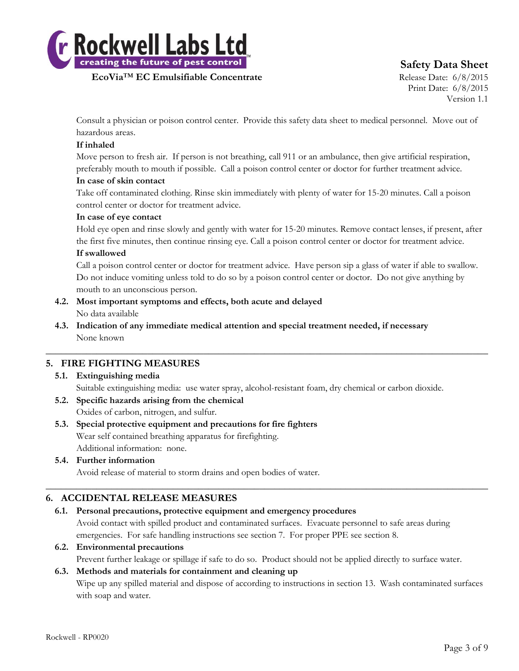

# **Safety Data Sheet**

Print Date: 6/8/2015 Version 1.1

Consult a physician or poison control center. Provide this safety data sheet to medical personnel. Move out of hazardous areas.

# **If inhaled**

Move person to fresh air. If person is not breathing, call 911 or an ambulance, then give artificial respiration, preferably mouth to mouth if possible. Call a poison control center or doctor for further treatment advice.

# **In case of skin contact**

Take off contaminated clothing. Rinse skin immediately with plenty of water for 15-20 minutes. Call a poison control center or doctor for treatment advice.

# **In case of eye contact**

Hold eye open and rinse slowly and gently with water for 15-20 minutes. Remove contact lenses, if present, after the first five minutes, then continue rinsing eye. Call a poison control center or doctor for treatment advice.

# **If swallowed**

Call a poison control center or doctor for treatment advice. Have person sip a glass of water if able to swallow. Do not induce vomiting unless told to do so by a poison control center or doctor. Do not give anything by mouth to an unconscious person.

- **4.2. Most important symptoms and effects, both acute and delayed** No data available
- **4.3. Indication of any immediate medical attention and special treatment needed, if necessary** None known

# **5. FIRE FIGHTING MEASURES**

**5.1. Extinguishing media** Suitable extinguishing media: use water spray, alcohol-resistant foam, dry chemical or carbon dioxide.

 $\_$  , and the set of the set of the set of the set of the set of the set of the set of the set of the set of the set of the set of the set of the set of the set of the set of the set of the set of the set of the set of th

- **5.2. Specific hazards arising from the chemical** Oxides of carbon, nitrogen, and sulfur.
- **5.3. Special protective equipment and precautions for fire fighters** Wear self contained breathing apparatus for firefighting. Additional information: none.

# **5.4. Further information** Avoid release of material to storm drains and open bodies of water.

# **6. ACCIDENTAL RELEASE MEASURES**

# **6.1. Personal precautions, protective equipment and emergency procedures**

Avoid contact with spilled product and contaminated surfaces. Evacuate personnel to safe areas during emergencies. For safe handling instructions see section 7. For proper PPE see section 8.

 $\_$  , and the set of the set of the set of the set of the set of the set of the set of the set of the set of the set of the set of the set of the set of the set of the set of the set of the set of the set of the set of th

# **6.2. Environmental precautions**

Prevent further leakage or spillage if safe to do so. Product should not be applied directly to surface water.

# **6.3. Methods and materials for containment and cleaning up**

Wipe up any spilled material and dispose of according to instructions in section 13. Wash contaminated surfaces with soap and water.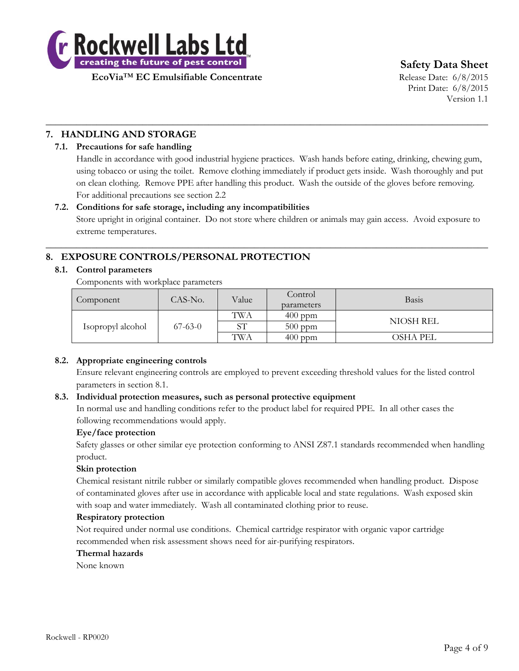

**Safety Data Sheet**

Print Date: 6/8/2015 Version 1.1

# **7. HANDLING AND STORAGE**

# **7.1. Precautions for safe handling**

Handle in accordance with good industrial hygiene practices. Wash hands before eating, drinking, chewing gum, using tobacco or using the toilet. Remove clothing immediately if product gets inside. Wash thoroughly and put on clean clothing. Remove PPE after handling this product. Wash the outside of the gloves before removing. For additional precautions see section 2.2

 $\_$  , and the set of the set of the set of the set of the set of the set of the set of the set of the set of the set of the set of the set of the set of the set of the set of the set of the set of the set of the set of th

# **7.2. Conditions for safe storage, including any incompatibilities**

Store upright in original container. Do not store where children or animals may gain access. Avoid exposure to extreme temperatures.

 $\_$  , and the set of the set of the set of the set of the set of the set of the set of the set of the set of the set of the set of the set of the set of the set of the set of the set of the set of the set of the set of th

# **8. EXPOSURE CONTROLS/PERSONAL PROTECTION**

# **8.1. Control parameters**

Components with workplace parameters

| Component         | CAS-No.   | Value | Control<br>parameters | <b>Basis</b> |
|-------------------|-----------|-------|-----------------------|--------------|
| Isopropyl alcohol | $67-63-0$ | TWA   | $400$ ppm             | NIOSH REL    |
|                   |           | SТ    | $500$ ppm             |              |
|                   |           | TWA   | $400$ ppm             | OSHA PEL     |

# **8.2. Appropriate engineering controls**

Ensure relevant engineering controls are employed to prevent exceeding threshold values for the listed control parameters in section 8.1.

# **8.3. Individual protection measures, such as personal protective equipment**

In normal use and handling conditions refer to the product label for required PPE. In all other cases the following recommendations would apply.

# **Eye/face protection**

Safety glasses or other similar eye protection conforming to ANSI Z87.1 standards recommended when handling product.

# **Skin protection**

Chemical resistant nitrile rubber or similarly compatible gloves recommended when handling product. Dispose of contaminated gloves after use in accordance with applicable local and state regulations. Wash exposed skin with soap and water immediately. Wash all contaminated clothing prior to reuse.

#### **Respiratory protection**

Not required under normal use conditions. Chemical cartridge respirator with organic vapor cartridge recommended when risk assessment shows need for air-purifying respirators.

#### **Thermal hazards**

None known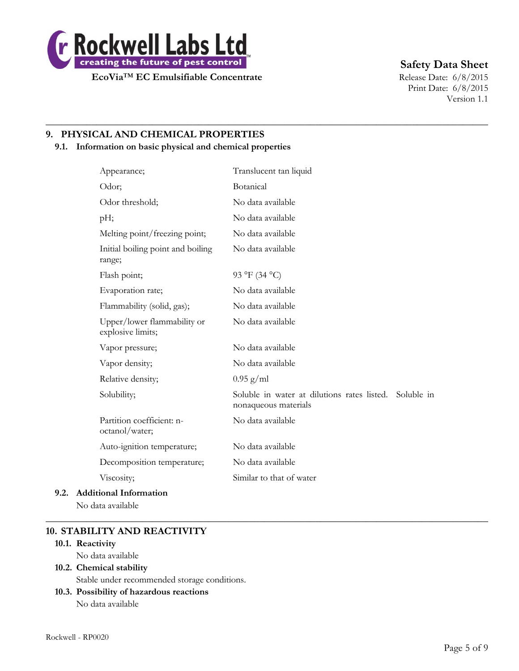

# **Safety Data Sheet**

Print Date: 6/8/2015 Version 1.1

# **9. PHYSICAL AND CHEMICAL PROPERTIES**

# **9.1. Information on basic physical and chemical properties**

|      | Appearance;                                      | Translucent tan liquid                                                         |
|------|--------------------------------------------------|--------------------------------------------------------------------------------|
|      | Odor;                                            | Botanical                                                                      |
|      | Odor threshold;                                  | No data available                                                              |
|      | pH;                                              | No data available                                                              |
|      | Melting point/freezing point;                    | No data available                                                              |
|      | Initial boiling point and boiling<br>range;      | No data available                                                              |
|      | Flash point;                                     | 93 °F (34 °C)                                                                  |
|      | Evaporation rate;                                | No data available                                                              |
|      | Flammability (solid, gas);                       | No data available                                                              |
|      | Upper/lower flammability or<br>explosive limits; | No data available                                                              |
|      | Vapor pressure;                                  | No data available                                                              |
|      | Vapor density;                                   | No data available                                                              |
|      | Relative density;                                | $0.95$ g/ml                                                                    |
|      | Solubility;                                      | Soluble in water at dilutions rates listed. Soluble in<br>nonaqueous materials |
|      | Partition coefficient: n-<br>octanol/water;      | No data available                                                              |
|      | Auto-ignition temperature;                       | No data available                                                              |
|      | Decomposition temperature;                       | No data available                                                              |
|      | Viscosity;                                       | Similar to that of water                                                       |
| 9.2. | <b>Additional Information</b>                    |                                                                                |

 $\_$  , and the set of the set of the set of the set of the set of the set of the set of the set of the set of the set of the set of the set of the set of the set of the set of the set of the set of the set of the set of th

 $\_$  , and the set of the set of the set of the set of the set of the set of the set of the set of the set of the set of the set of the set of the set of the set of the set of the set of the set of the set of the set of th

No data available

# **10. STABILITY AND REACTIVITY**

# **10.1. Reactivity**

No data available

# **10.2. Chemical stability**

Stable under recommended storage conditions.

# **10.3. Possibility of hazardous reactions**

No data available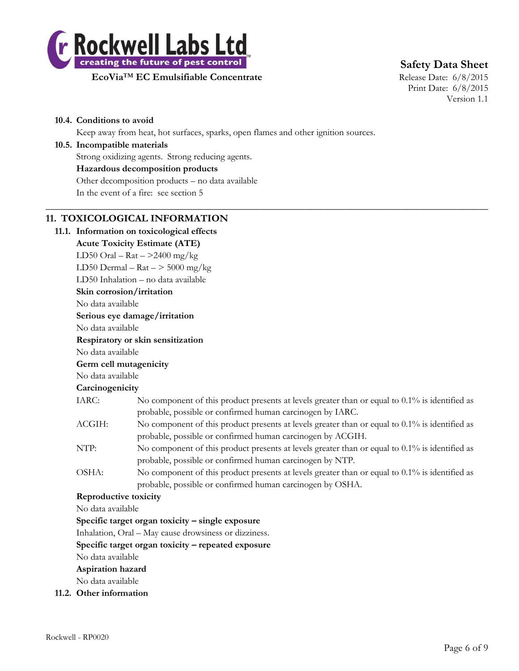

**Safety Data Sheet**

**EcoVia<sup>™</sup> EC Emulsifiable Concentrate** Release Date: 6/8/2015

Print Date: 6/8/2015 Version 1.1

#### **10.4. Conditions to avoid**

Keep away from heat, hot surfaces, sparks, open flames and other ignition sources.

#### **10.5. Incompatible materials**

Strong oxidizing agents. Strong reducing agents.

#### **Hazardous decomposition products**

Other decomposition products – no data available

In the event of a fire: see section 5

# **11. TOXICOLOGICAL INFORMATION**

**11.1. Information on toxicological effects Acute Toxicity Estimate (ATE)** LD50 Oral –  $\text{Rat}$  –  $>$ 2400 mg/kg LD50 Dermal –  $\text{Rat}$  –  $>$  5000 mg/kg LD50 Inhalation – no data available **Skin corrosion/irritation** No data available **Serious eye damage/irritation** No data available **Respiratory or skin sensitization** No data available **Germ cell mutagenicity** No data available **Carcinogenicity** IARC: No component of this product presents at levels greater than or equal to 0.1% is identified as probable, possible or confirmed human carcinogen by IARC. ACGIH: No component of this product presents at levels greater than or equal to 0.1% is identified as probable, possible or confirmed human carcinogen by ACGIH. NTP: No component of this product presents at levels greater than or equal to  $0.1\%$  is identified as probable, possible or confirmed human carcinogen by NTP. OSHA: No component of this product presents at levels greater than or equal to 0.1% is identified as probable, possible or confirmed human carcinogen by OSHA. **Reproductive toxicity** No data available **Specific target organ toxicity – single exposure** Inhalation, Oral – May cause drowsiness or dizziness. **Specific target organ toxicity – repeated exposure** No data available **Aspiration hazard** No data available

 $\_$  , and the set of the set of the set of the set of the set of the set of the set of the set of the set of the set of the set of the set of the set of the set of the set of the set of the set of the set of the set of th

**11.2. Other information**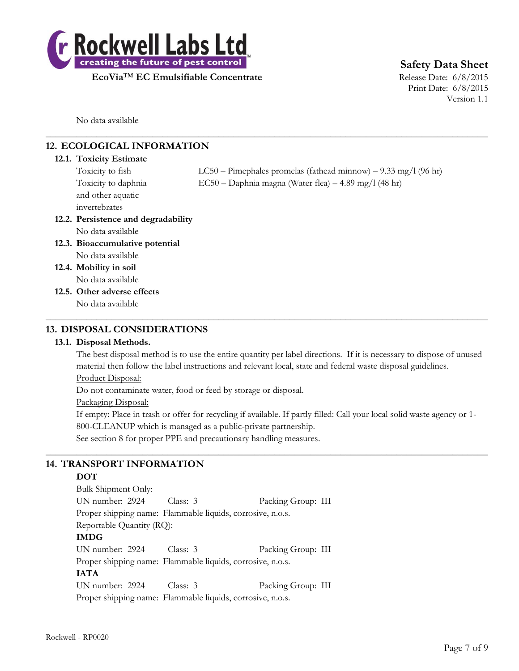

# **Safety Data Sheet**

Print Date: 6/8/2015 Version 1.1

No data available

# **12. ECOLOGICAL INFORMATION**

#### **12.1. Toxicity Estimate**

| Toxicity to fish                    | $LC50$ – Pimephales promelas (fathead minnow) – 9.33 mg/l (96 hr) |
|-------------------------------------|-------------------------------------------------------------------|
| Toxicity to daphnia                 | $EC50 - Daphnia$ magna (Water flea) $-4.89$ mg/l (48 hr)          |
| and other aquatic                   |                                                                   |
| invertebrates                       |                                                                   |
| 12.2. Persistence and degradability |                                                                   |
| No data available                   |                                                                   |
| 12.3. Bioaccumulative potential     |                                                                   |
| No data available                   |                                                                   |
| 12.4. Mobility in soil              |                                                                   |
| No data available                   |                                                                   |
| 12.5. Other adverse effects         |                                                                   |
| No data available                   |                                                                   |
|                                     |                                                                   |

 $\_$  , and the set of the set of the set of the set of the set of the set of the set of the set of the set of the set of the set of the set of the set of the set of the set of the set of the set of the set of the set of th

# **13. DISPOSAL CONSIDERATIONS**

# **13.1. Disposal Methods.**

The best disposal method is to use the entire quantity per label directions. If it is necessary to dispose of unused material then follow the label instructions and relevant local, state and federal waste disposal guidelines.

# Product Disposal:

Do not contaminate water, food or feed by storage or disposal.

# Packaging Disposal:

If empty: Place in trash or offer for recycling if available. If partly filled: Call your local solid waste agency or 1- 800-CLEANUP which is managed as a public-private partnership.

 $\_$  , and the set of the set of the set of the set of the set of the set of the set of the set of the set of the set of the set of the set of the set of the set of the set of the set of the set of the set of the set of th

See section 8 for proper PPE and precautionary handling measures.

# **14. TRANSPORT INFORMATION**

# **DOT**

| Bulk Shipment Only:                                        |            |                    |
|------------------------------------------------------------|------------|--------------------|
| UN number: 2924                                            | Class: 3   | Packing Group: III |
| Proper shipping name: Flammable liquids, corrosive, n.o.s. |            |                    |
| Reportable Quantity (RQ):                                  |            |                    |
| <b>IMDG</b>                                                |            |                    |
| UN number: 2924                                            | Class: $3$ | Packing Group: III |
| Proper shipping name: Flammable liquids, corrosive, n.o.s. |            |                    |
| <b>IATA</b>                                                |            |                    |
| UN number: 2924                                            | Class: $3$ | Packing Group: III |
| Proper shipping name: Flammable liquids, corrosive, n.o.s. |            |                    |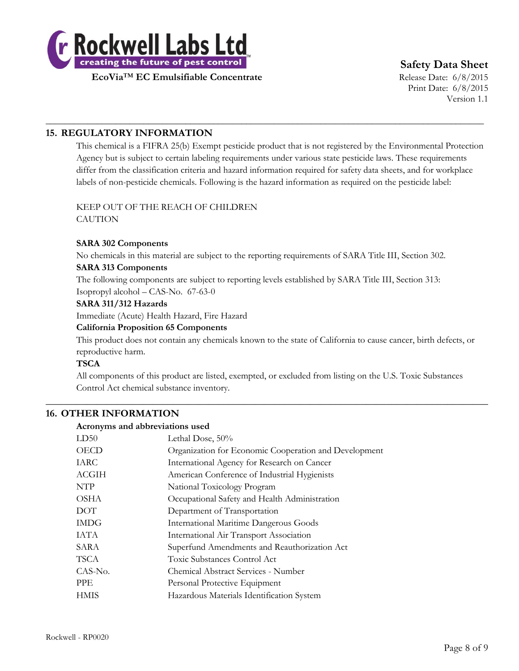

# **Safety Data Sheet**

Print Date: 6/8/2015 Version 1.1

# **15. REGULATORY INFORMATION**

This chemical is a FIFRA 25(b) Exempt pesticide product that is not registered by the Environmental Protection Agency but is subject to certain labeling requirements under various state pesticide laws. These requirements differ from the classification criteria and hazard information required for safety data sheets, and for workplace labels of non-pesticide chemicals. Following is the hazard information as required on the pesticide label:

\_\_\_\_\_\_\_\_\_\_\_\_\_\_\_\_\_\_\_\_\_\_\_\_\_\_\_\_\_\_\_\_\_\_\_\_\_\_\_\_\_\_\_\_\_\_\_\_\_\_\_\_\_\_\_\_\_\_\_\_\_\_\_\_\_\_\_\_\_\_\_\_\_\_\_\_\_\_\_\_\_\_\_\_\_\_\_\_\_\_\_\_\_\_

# KEEP OUT OF THE REACH OF CHILDREN

**CAUTION** 

# **SARA 302 Components**

No chemicals in this material are subject to the reporting requirements of SARA Title III, Section 302.

# **SARA 313 Components**

The following components are subject to reporting levels established by SARA Title III, Section 313: Isopropyl alcohol – CAS-No. 67-63-0

#### **SARA 311/312 Hazards**

Immediate (Acute) Health Hazard, Fire Hazard

#### **California Proposition 65 Components**

This product does not contain any chemicals known to the state of California to cause cancer, birth defects, or reproductive harm.

# **TSCA**

All components of this product are listed, exempted, or excluded from listing on the U.S. Toxic Substances Control Act chemical substance inventory.

 $\_$  , and the set of the set of the set of the set of the set of the set of the set of the set of the set of the set of the set of the set of the set of the set of the set of the set of the set of the set of the set of th

# **16. OTHER INFORMATION**

#### **Acronyms and abbreviations used**

| LD50        | Lethal Dose, 50%                                      |
|-------------|-------------------------------------------------------|
| <b>OECD</b> | Organization for Economic Cooperation and Development |
| IARC        | International Agency for Research on Cancer           |
| ACGIH       | American Conference of Industrial Hygienists          |
| <b>NTP</b>  | National Toxicology Program                           |
| <b>OSHA</b> | Occupational Safety and Health Administration         |
| <b>DOT</b>  | Department of Transportation                          |
| <b>IMDG</b> | <b>International Maritime Dangerous Goods</b>         |
| <b>IATA</b> | International Air Transport Association               |
| SARA        | Superfund Amendments and Reauthorization Act          |
| <b>TSCA</b> | Toxic Substances Control Act                          |
| CAS-No.     | Chemical Abstract Services - Number                   |
| <b>PPE</b>  | Personal Protective Equipment                         |
| <b>HMIS</b> | Hazardous Materials Identification System             |